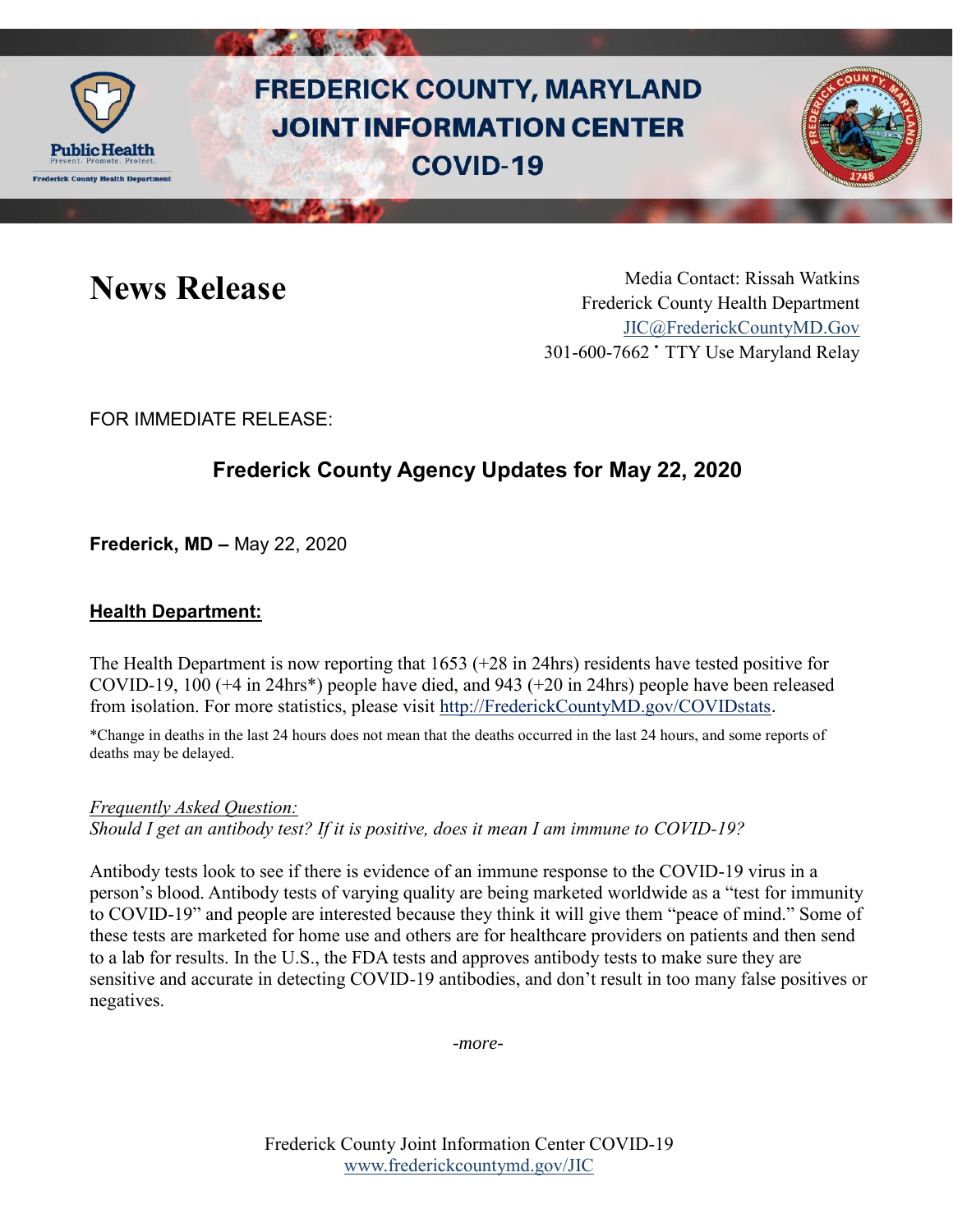

# **FREDERICK COUNTY, MARYLAND JOINT INFORMATION CENTER COVID-19**



News Release Media Contact: Rissah Watkins Frederick County Health Department [JIC@FrederickCountyMD.Gov](mailto:JIC@FrederickCountyMD.Gov) 301-600-7662 • TTY Use Maryland Relay

FOR IMMEDIATE RELEASE:

## **Frederick County Agency Updates for May 22, 2020**

**Frederick, MD –** May 22, 2020

#### **Health Department:**

The Health Department is now reporting that 1653 (+28 in 24hrs) residents have tested positive for COVID-19, 100 (+4 in 24hrs\*) people have died, and 943 (+20 in 24hrs) people have been released from isolation. For more statistics, please visit [http://FrederickCountyMD.gov/COVIDstats](http://frederickcountymd.gov/COVIDstats).

\*Change in deaths in the last 24 hours does not mean that the deaths occurred in the last 24 hours, and some reports of deaths may be delayed.

*Frequently Asked Question: Should I get an antibody test? If it is positive, does it mean I am immune to COVID-19?*

Antibody tests look to see if there is evidence of an immune response to the COVID-19 virus in a person's blood. Antibody tests of varying quality are being marketed worldwide as a "test for immunity to COVID-19" and people are interested because they think it will give them "peace of mind." Some of these tests are marketed for home use and others are for healthcare providers on patients and then send to a lab for results. In the U.S., the FDA tests and approves antibody tests to make sure they are sensitive and accurate in detecting COVID-19 antibodies, and don't result in too many false positives or negatives.

*-more-*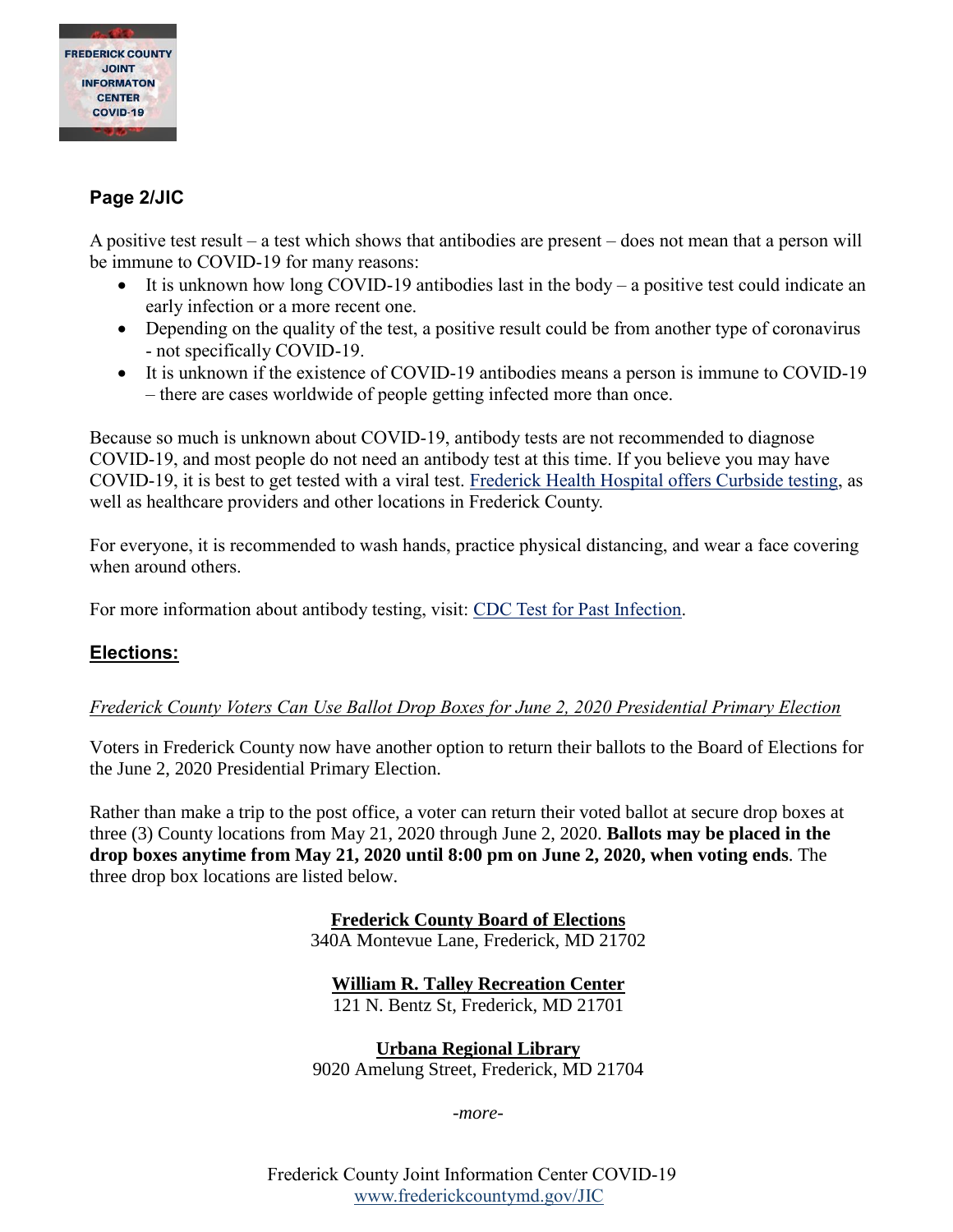

### **Page 2/JIC**

A positive test result – a test which shows that antibodies are present – does not mean that a person will be immune to COVID-19 for many reasons:

- It is unknown how long COVID-19 antibodies last in the body a positive test could indicate an early infection or a more recent one.
- Depending on the quality of the test, a positive result could be from another type of coronavirus - not specifically COVID-19.
- It is unknown if the existence of COVID-19 antibodies means a person is immune to COVID-19 – there are cases worldwide of people getting infected more than once.

Because so much is unknown about COVID-19, antibody tests are not recommended to diagnose COVID-19, and most people do not need an antibody test at this time. If you believe you may have COVID-19, it is best to get tested with a viral test. [Frederick Health Hospital offers Curbside testing,](https://www.frederickhealth.org/Patients-Visitors/Coronavirus-COVID-19-.aspx?furl=coronavirus) as well as healthcare providers and other locations in Frederick County.

For everyone, it is recommended to wash hands, practice physical distancing, and wear a face covering when around others.

For more information about antibody testing, visit: [CDC Test for Past Infection.](https://www.cdc.gov/coronavirus/2019-ncov/testing/serology-overview.html)

#### **Elections:**

#### *Frederick County Voters Can Use Ballot Drop Boxes for June 2, 2020 Presidential Primary Election*

Voters in Frederick County now have another option to return their ballots to the Board of Elections for the June 2, 2020 Presidential Primary Election.

Rather than make a trip to the post office, a voter can return their voted ballot at secure drop boxes at three (3) County locations from May 21, 2020 through June 2, 2020. **Ballots may be placed in the drop boxes anytime from May 21, 2020 until 8:00 pm on June 2, 2020, when voting ends**. The three drop box locations are listed below.

> **Frederick County Board of Elections** 340A Montevue Lane, Frederick, MD 21702

**William R. Talley Recreation Center**

121 N. Bentz St, Frederick, MD 21701

**Urbana Regional Library** 9020 Amelung Street, Frederick, MD 21704

*-more-*

Frederick County Joint Information Center COVID-19 [www.frederickcountymd.gov/JIC](https://frederickcountymd.gov/JIC)